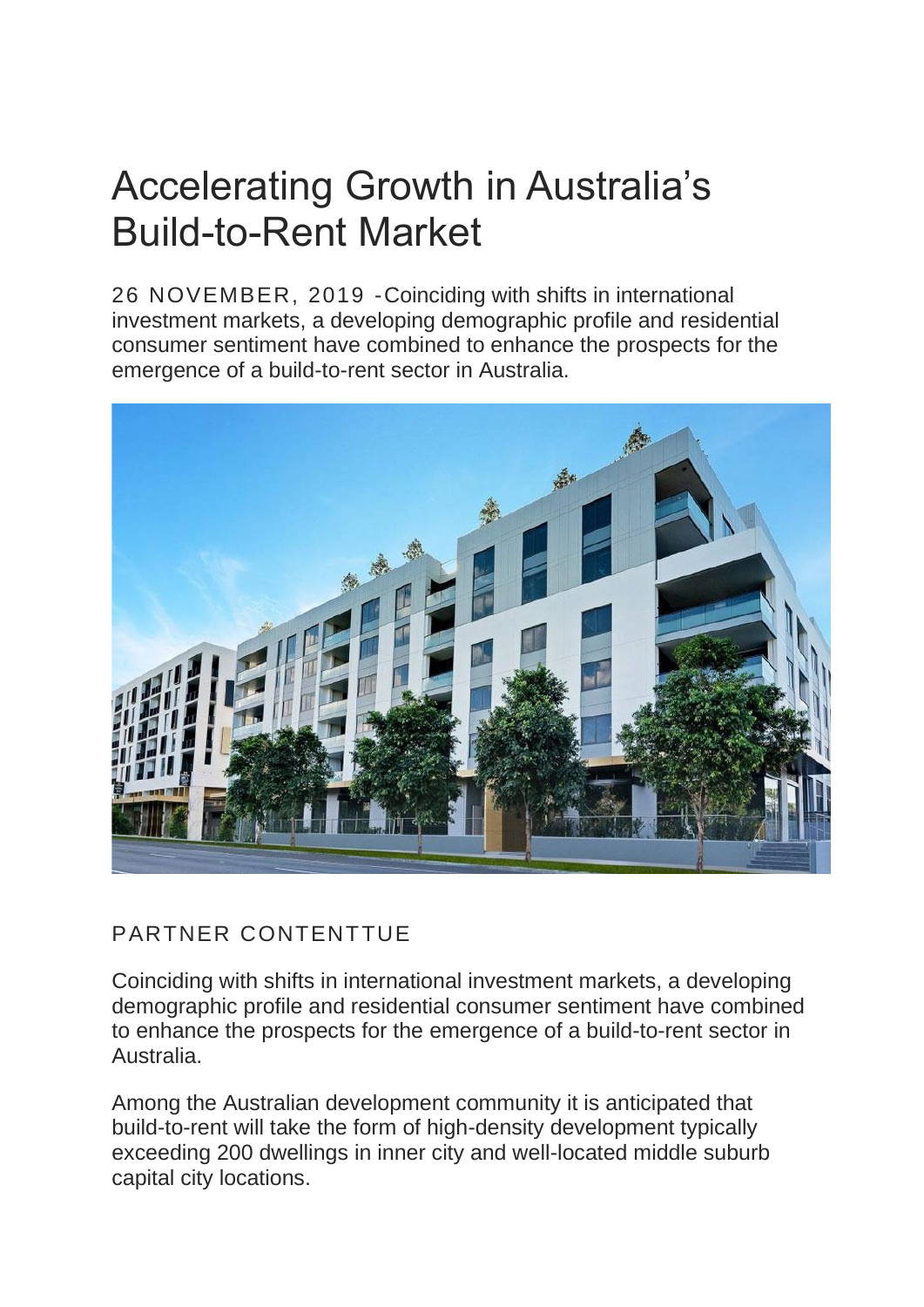## Accelerating Growth in Australia's Build-to-Rent Market

26 NOVEMBER, 2019 -Coinciding with shifts in international investment markets, a developing demographic profile and residential consumer sentiment have combined to enhance the prospects for the emergence of a build-to-rent sector in Australia.



## PARTNER CONTENTTUE

Coinciding with shifts in international investment markets, a developing demographic profile and residential consumer sentiment have combined to enhance the prospects for the emergence of a build-to-rent sector in Australia.

Among the Australian development community it is anticipated that build-to-rent will take the form of high-density development typically exceeding 200 dwellings in inner city and well-located middle suburb capital city locations.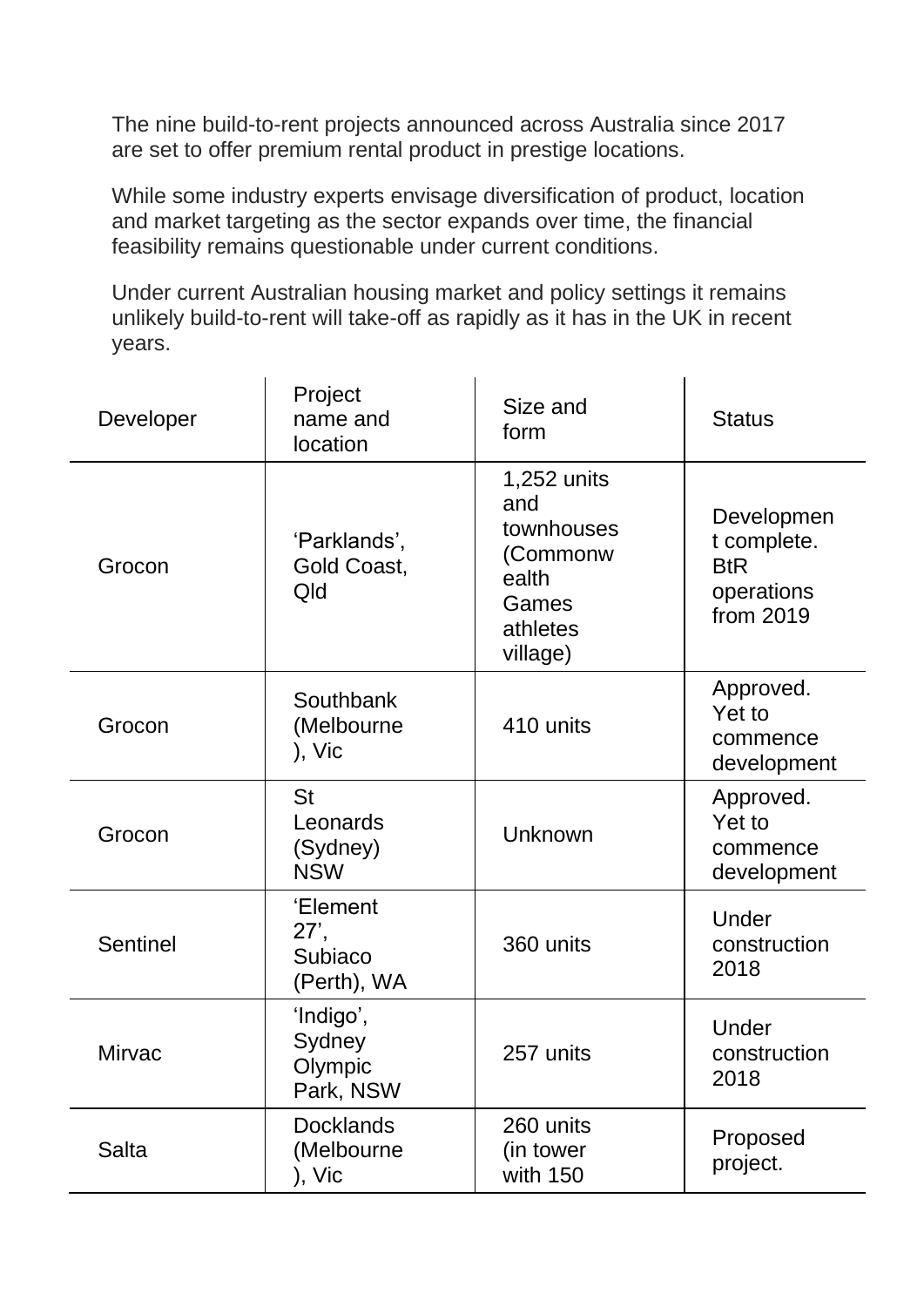The nine build-to-rent projects announced across Australia since 2017 are set to offer premium rental product in prestige locations.

While some industry experts envisage diversification of product, location and market targeting as the sector expands over time, the financial feasibility remains questionable under current conditions.

Under current Australian housing market and policy settings it remains unlikely build-to-rent will take-off as rapidly as it has in the UK in recent years.

| Developer       | Project<br>name and<br>location                 | Size and<br>form                                                                       | <b>Status</b>                                                      |
|-----------------|-------------------------------------------------|----------------------------------------------------------------------------------------|--------------------------------------------------------------------|
| Grocon          | 'Parklands',<br>Gold Coast,<br>Qld              | 1,252 units<br>and<br>townhouses<br>(Commonw<br>ealth<br>Games<br>athletes<br>village) | Developmen<br>t complete.<br><b>BtR</b><br>operations<br>from 2019 |
| Grocon          | Southbank<br>(Melbourne<br>), Vic               | 410 units                                                                              | Approved.<br>Yet to<br>commence<br>development                     |
| Grocon          | <b>St</b><br>Leonards<br>(Sydney)<br><b>NSW</b> | Unknown                                                                                | Approved.<br>Yet to<br>commence<br>development                     |
| <b>Sentinel</b> | 'Element<br>27',<br>Subiaco<br>(Perth), WA      | 360 units                                                                              | Under<br>construction<br>2018                                      |
| Mirvac          | 'Indigo',<br>Sydney<br>Olympic<br>Park, NSW     | 257 units                                                                              | Under<br>construction<br>2018                                      |
| <b>Salta</b>    | <b>Docklands</b><br>(Melbourne<br>), Vic        | 260 units<br>(in tower)<br>with 150                                                    | Proposed<br>project.                                               |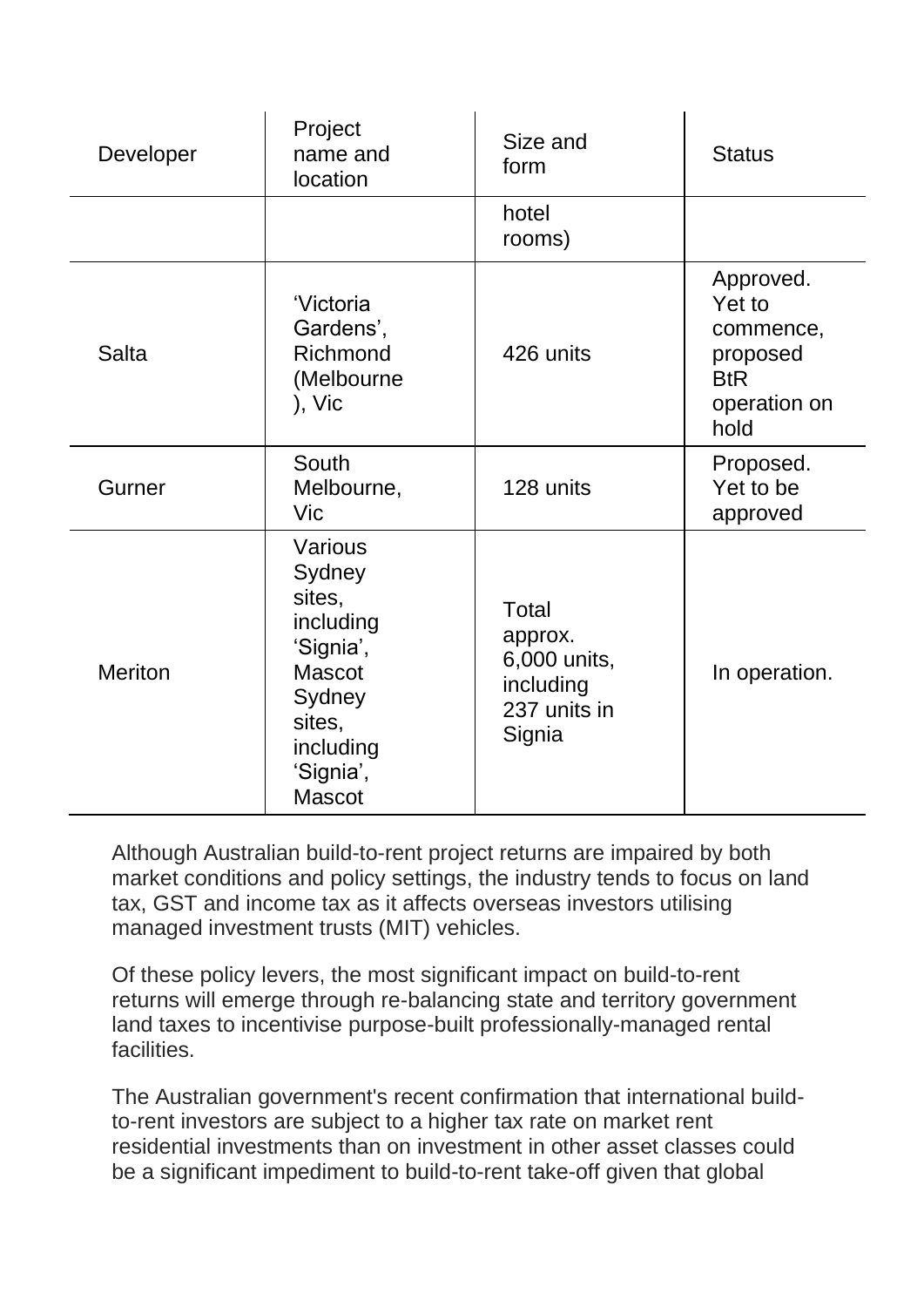| Developer      | Project<br>name and<br>location                                                                                                       | Size and<br>form                                                        | <b>Status</b>                                                                      |
|----------------|---------------------------------------------------------------------------------------------------------------------------------------|-------------------------------------------------------------------------|------------------------------------------------------------------------------------|
|                |                                                                                                                                       | hotel<br>rooms)                                                         |                                                                                    |
| <b>Salta</b>   | 'Victoria<br>Gardens',<br>Richmond<br>(Melbourne<br>), Vic                                                                            | 426 units                                                               | Approved.<br>Yet to<br>commence,<br>proposed<br><b>BtR</b><br>operation on<br>hold |
| Gurner         | South<br>Melbourne,<br>Vic                                                                                                            | 128 units                                                               | Proposed.<br>Yet to be<br>approved                                                 |
| <b>Meriton</b> | Various<br>Sydney<br>sites,<br>including<br>'Signia',<br><b>Mascot</b><br>Sydney<br>sites,<br>including<br>'Signia',<br><b>Mascot</b> | Total<br>approx.<br>6,000 units,<br>including<br>237 units in<br>Signia | In operation.                                                                      |

Although Australian build-to-rent project returns are impaired by both market conditions and policy settings, the industry tends to focus on land tax, GST and income tax as it affects overseas investors utilising managed investment trusts (MIT) vehicles.

Of these policy levers, the most significant impact on build-to-rent returns will emerge through re-balancing state and territory government land taxes to incentivise purpose-built professionally-managed rental **facilities** 

The Australian government's recent confirmation that international buildto-rent investors are subject to a higher tax rate on market rent residential investments than on investment in other asset classes could be a significant impediment to build-to-rent take-off given that global